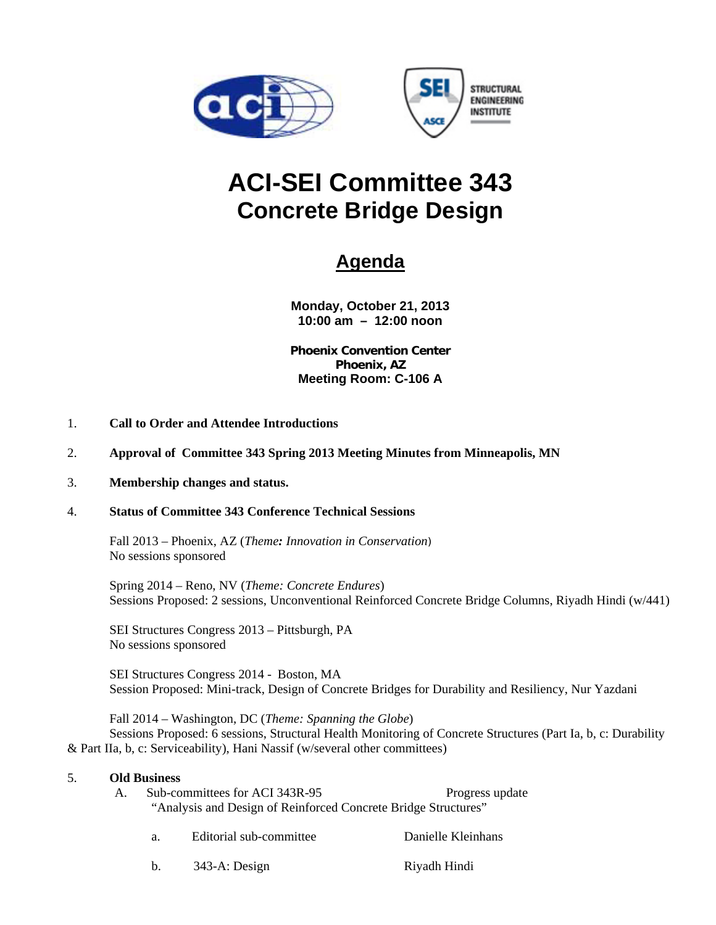



# **ACI-SEI Committee 343 Concrete Bridge Design**

# **Agenda**

**Monday, October 21, 2013 10:00 am – 12:00 noon** 

**Phoenix Convention Center Phoenix, AZ Meeting Room: C-106 A** 

- 1. **Call to Order and Attendee Introductions**
- 2. **Approval of Committee 343 Spring 2013 Meeting Minutes from Minneapolis, MN**

#### 3. **Membership changes and status.**

#### 4. **Status of Committee 343 Conference Technical Sessions**

 Fall 2013 – Phoenix, AZ (*Theme: Innovation in Conservation*) No sessions sponsored

 Spring 2014 – Reno, NV (*Theme: Concrete Endures*) Sessions Proposed: 2 sessions, Unconventional Reinforced Concrete Bridge Columns, Riyadh Hindi (w/441)

 SEI Structures Congress 2013 – Pittsburgh, PA No sessions sponsored

 SEI Structures Congress 2014 - Boston, MA Session Proposed: Mini-track, Design of Concrete Bridges for Durability and Resiliency, Nur Yazdani

 Fall 2014 – Washington, DC (*Theme: Spanning the Globe*) Sessions Proposed: 6 sessions, Structural Health Monitoring of Concrete Structures (Part Ia, b, c: Durability & Part IIa, b, c: Serviceability), Hani Nassif (w/several other committees)

#### 5. **Old Business**

- A. Sub-committees for ACI 343R-95 Progress update "Analysis and Design of Reinforced Concrete Bridge Structures"
	- a. Editorial sub-committee Danielle Kleinhans
	- b. 343-A: Design Riyadh Hindi